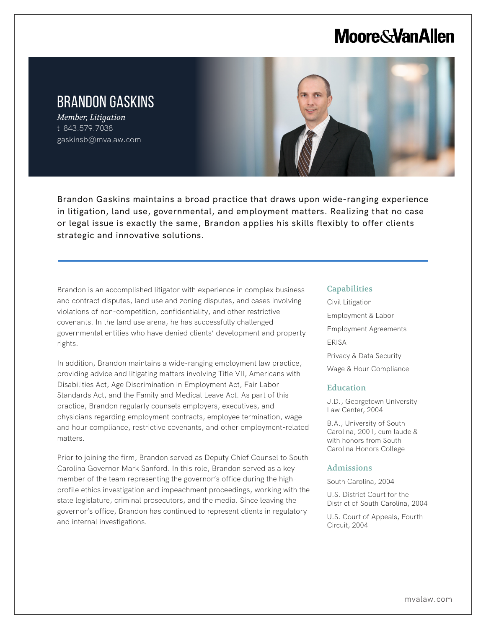# **Moore & Van Allen**

## BRANDON GASKINS

*Member, Litigation* t 843.579.7038 gaskinsb@mvalaw.com

l,



Brandon Gaskins maintains a broad practice that draws upon wide-ranging experience in litigation, land use, governmental, and employment matters. Realizing that no case or legal issue is exactly the same, Brandon applies his skills flexibly to offer clients strategic and innovative solutions.

Brandon is an accomplished litigator with experience in complex business and contract disputes, land use and zoning disputes, and cases involving violations of non-competition, confidentiality, and other restrictive covenants. In the land use arena, he has successfully challenged governmental entities who have denied clients' development and property rights.

In addition, Brandon maintains a wide-ranging employment law practice, providing advice and litigating matters involving Title VII, Americans with Disabilities Act, Age Discrimination in Employment Act, Fair Labor Standards Act, and the Family and Medical Leave Act. As part of this practice, Brandon regularly counsels employers, executives, and physicians regarding employment contracts, employee termination, wage and hour compliance, restrictive covenants, and other employment-related matters.

Prior to joining the firm, Brandon served as Deputy Chief Counsel to South Carolina Governor Mark Sanford. In this role, Brandon served as a key member of the team representing the governor's office during the highprofile ethics investigation and impeachment proceedings, working with the state legislature, criminal prosecutors, and the media. Since leaving the governor's office, Brandon has continued to represent clients in regulatory and internal investigations.

#### **Capabilities**

Civil Litigation Employment & Labor Employment Agreements ERISA Privacy & Data Security Wage & Hour Compliance

#### **Education**

J.D., Georgetown University Law Center, 2004

B.A., University of South Carolina, 2001, cum laude & with honors from South Carolina Honors College

#### Admissions

South Carolina, 2004

U.S. District Court for the District of South Carolina, 2004

U.S. Court of Appeals, Fourth Circuit, 2004